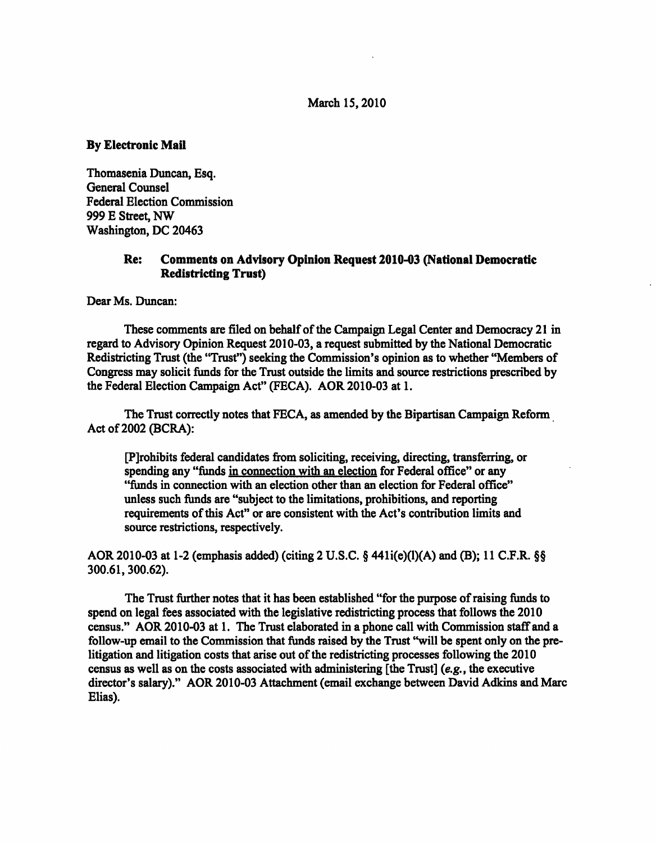#### March 15,2010

## By Electronic Mail

Thomasenia Duncan, Esq. General Counsel Federal Election Commission 999 E Street, NW Washington, DC 20463

# Re: Comments on Advisory Opinion Request 2010-03 (National Democratic Redistricting Trust)

Dear Ms. Duncan:

These comments are filed on behalf of the Campaign Legal Center and Democracy 21 in regard to Advisory Opinion Request 2010-03, a request submitted by the National Democratic Redistricting Trust (the "Trust") seeking the Commission's opinion as to whether "Members of Congress may solicit funds for the Trust outside the limits and source restrictions prescribed by the Federal Election Campaign Act" (FECA). AOR 2010-03 at 1.

The Trust correctly notes that FECA, as amended by the Bipartisan Campaign Reform Act of 2002 (BCRA):

[Prohibits federal candidates from soliciting, receiving, directing, transferring, or spending any "funds in connection with an election for Federal office" or any "funds in connection with an election other than an election for Federal office" unless such funds are "subject to the limitations, prohibitions, and reporting requirements of this Act" or are consistent with the Act's contribution limits and source restrictions, respectively.

AOR 2010-03 at 1-2 (emphasis added) (citing 2 U.S.C. § 441 $i(e)(1)(A)$  and (B); 11 C.F.R. §§ 300.61,300.62).

The Trust further notes that it has been established "for the purpose of raising funds to spend on legal fees associated with the legislative redistricting process that follows the 2010 census." AOR 2010-03 at 1. The Trust elaborated in a phone call with Commission staff and a follow-up email to the Commission that funds raised by the Trust "will be spent only on the prelitigation and litigation costs that arise out of the redistricting processes following the 2010 census as well as on the costs associated with administering [the Trust] (e.g., the executive director's salary)." AOR 2010-03 Attachment (email exchange between David Adkins and Marc Elias).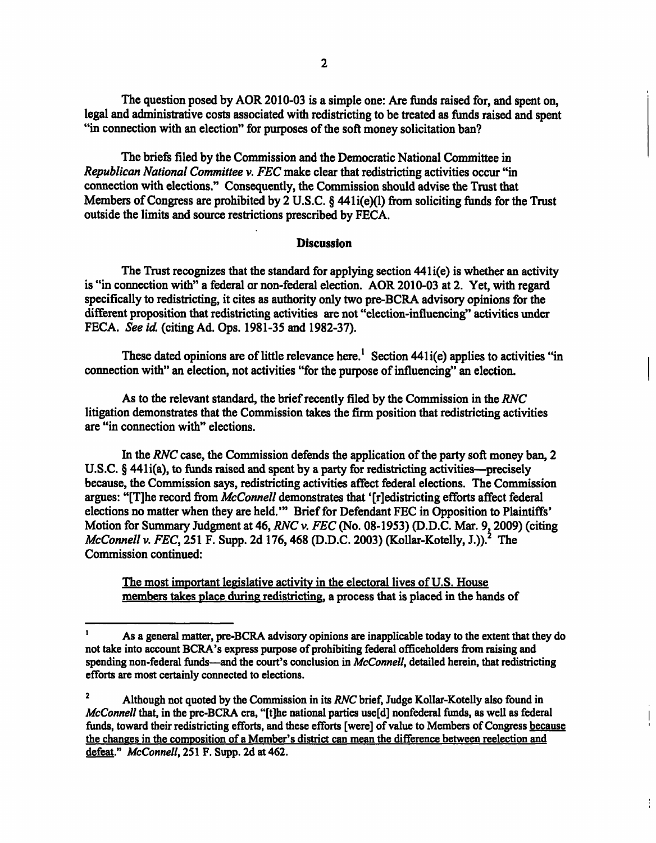The question posed by AOR 2010-03 is a simple one: Are funds raised for, and spent on, legal and administrative costs associated with redistricting to be treated as funds raised and spent "in connection with an election" for purposes of the soft money solicitation ban?

The briefs filed by the Commission and the Democratic National Committee in Republican National Committee v. FEC make clear that redistricting activities occur "in connection with elections." Consequently, the Commission should advise the Trust that Members of Congress are prohibited by 2 U.S.C. § 441i(e)(l) from soliciting funds for the Trust outside the limits and source restrictions prescribed by FECA.

#### Discussion

The Trust recognizes that the standard for applying section 441i(e) is whether an activity is "in connection with" a federal or non-federal election. AOR 2010-03 at 2. Yet, with regard specifically to redistricting, it cites as authority only two pre-BCRA advisory opinions for the different proposition that redistricting activities are not "election-influencing" activities under FECA. See id. (citing Ad. Ops. 1981-35 and 1982-37).

These dated opinions are of little relevance here.<sup>1</sup> Section 441 $i$ (e) applies to activities "in connection with" an election, not activities "for the purpose of influencing" an election.

As to the relevant standard, the brief recently filed by the Commission in the RNC litigation demonstrates that the Commission takes the firm position that redistricting activities are "in connection with" elections.

In the RNC case, the Commission defends the application of the party soft money ban, 2 U.S.C. § 441 i(a), to funds raised and spent by a party for redistricting activities—precisely because, the Commission says, redistricting activities affect federal elections. The Commission argues: "[T]he record from McConnell demonstrates that '[r]edistricting efforts affect federal elections no matter when they are held.'" Brief for Defendant FEC in Opposition to Plaintiffs' Motion for Summary Judgment at 46, RNC v. FEC (No. 08-1953) (D.D.C. Mar. 9,2009) (citing McConnell v. FEC, 251 F. Supp. 2d 176, 468 (D.D.C. 2003) (Kollar-Kotelly, J.)).<sup>2</sup> The Commission continued:

The most important legislative activity in the electoral lives of U.S. House members takes place during redistricting. a process that is placed in the hands of

 $\frac{1}{1}$ 

<sup>1</sup> As a general matter, pre-BCRA advisory opinions are inapplicable today to the extent that they do not take into account BCRA's express purpose of prohibiting federal officeholders from raising and spending non-federal funds—and the court's conclusion in McConnell, detailed herein, that redistricting efforts are most certainly connected to elections.

<sup>2</sup> Although not quoted by the Commission in its RNC brief, Judge Kollar-Kotelly also found in  $McConnell$  that, in the pre-BCRA era, "[t]he national parties use[d] nonfederal funds, as well as federal funds, toward their redistricting efforts, and these efforts [were] of value to Members of Congress because the changes in the composition of a Member's district can mean the difference between reelection and defeat." McConnell, 251 F. Supp. 2d at 462.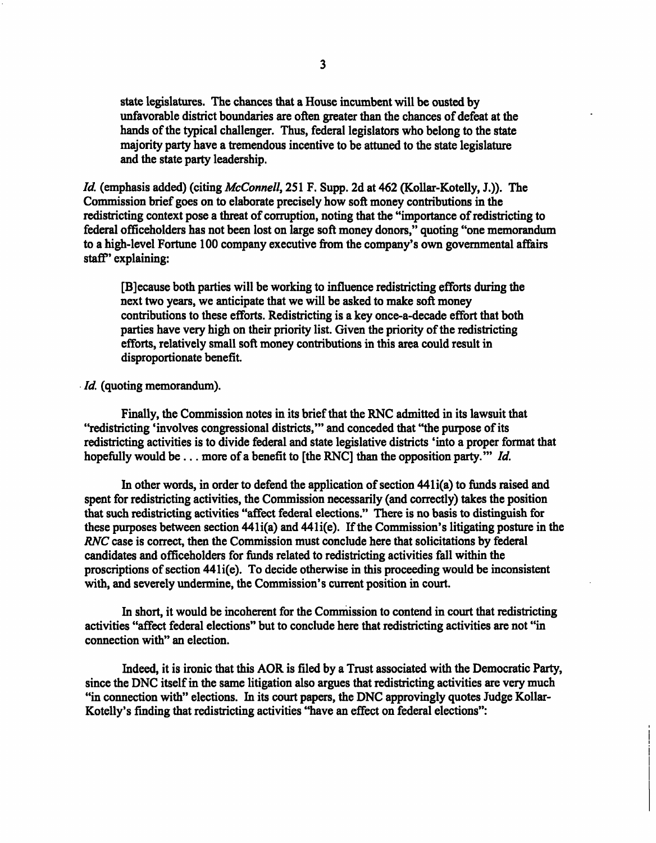state legislatures. The chances that a House incumbent will be ousted by unfavorable district boundaries are often greater than the chances of defeat at the hands of the typical challenger. Thus, federal legislators who belong to the state majority party have a tremendous incentive to be attuned to the state legislature and the state party leadership.

Id. (emphasis added) (citing McConnell, 251 F. Supp. 2d at 462 (Kollar-Kotelly, J.)). The Commission brief goes on to elaborate precisely how soft money contributions in the redistricting context pose a threat of corruption, noting that the "importance of redistricting to federal officeholders has not been lost on large soft money donors," quoting "one memorandum to a high-level Fortune 100 company executive from the company's own governmental affairs staff' explaining:

[B]ecause both parties will be working to influence redistricting efforts during the next two years, we anticipate that we will be asked to make soft money contributions to these efforts. Redistricting is a key once-a-decade effort that both parties have very high on their priority list. Given the priority of the redistricting efforts, relatively small soft money contributions in this area could result in disproportionate benefit.

#### Id. (quoting memorandum).

Finally, the Commission notes in its brief that the RNC admitted in its lawsuit that "redistricting 'involves congressional districts,'" and conceded that "the purpose of its redistricting activities is to divide federal and state legislative districts 'into a proper format that hopefully would be ... more of a benefit to [the RNC] than the opposition party."" Id.

In other words, in order to defend the application of section 441i(a) to funds raised and spent for redistricting activities, the Commission necessarily (and correctly) takes the position that such redistricting activities "affect federal elections." There is no basis to distinguish for these purposes between section 441i(a) and 441i(e). If the Commission's litigating posture in the RNC case is correct, then the Commission must conclude here that solicitations by federal candidates and officeholders for funds related to redistricting activities fall within the proscriptions of section 441i(e). To decide otherwise in this proceeding would be inconsistent with, and severely undermine, the Commission's current position in court.

In short, it would be incoherent for the Commission to contend in court that redistricting activities "affect federal elections" but to conclude here that redistricting activities are not "in connection with" an election.

Indeed, it is ironic that this AOR is filed by a Trust associated with the Democratic Party, since the DNC itself in the same litigation also argues that redistricting activities are very much "in connection with" elections. In its court papers, the DNC approvingly quotes Judge Kollar-Kotelly 's finding that redistricting activities "have an effect on federal elections":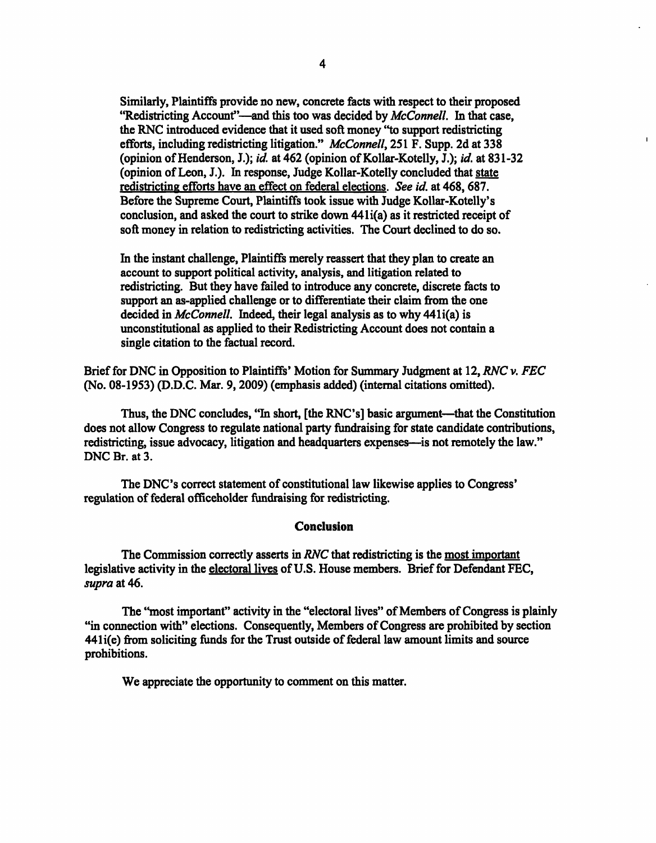Similarly, Plaintiffs provide no new, concrete facts with respect to their proposed "Redistricting Account"—and this too was decided by McConnell. In that case, the RNC introduced evidence that it used soft money "to support redistricting efforts, including redistricting litigation." McConnell, 251 F. Supp. 2d at 338 (opinion of Henderson, J.); id. at 462 (opinion of Kollar-Kotelly, J.); id. at 831-32 (opinion of Leon, J.). In response, Judge Kollar-Kotelly concluded that state redistricting efforts have an effect on federal elections. See id. at 468,687. Before the Supreme Court, Plaintiffs took issue with Judge Kollar-Kotelly's conclusion, and asked the court to strike down 441i(a) as it restricted receipt of soft money in relation to redistricting activities. The Court declined to do so.

 $\mathbf{I}$ 

In the instant challenge, Plaintiffs merely reassert that they plan to create an account to support political activity, analysis, and litigation related to redistricting. But they have failed to introduce any concrete, discrete facts to support an as-applied challenge or to differentiate their claim from the one decided in *McConnell*. Indeed, their legal analysis as to why 441i(a) is unconstitutional as applied to their Redistricting Account does not contain a single citation to the factual record.

Brief for DNC in Opposition to Plaintiffs' Motion for Summary Judgment at 12, RNC v. FEC (No. 08-1953) (D.D.C. Mar. 9,2009) (emphasis added) (internal citations omitted).

Thus, the DNC concludes, "In short, [the RNC's] basic argument—that the Constitution does not allow Congress to regulate national party fundraising for state candidate contributions, redistricting, issue advocacy, litigation and headquarters expenses—is not remotely the law." DNC Br. at 3.

The DNC's correct statement of constitutional law likewise applies to Congress' regulation of federal officeholder fundraising for redistricting.

### Conclusion

The Commission correctly asserts in RNC that redistricting is the most important legislative activity in the electoral lives of U.S. House members. Brief for Defendant FEC, supra at 46.

The "most important" activity in the "electoral lives" of Members of Congress is plainly "in connection with" elections. Consequently, Members of Congress are prohibited by section 441i(e) from soliciting funds for the Trust outside of federal law amount limits and source prohibitions.

We appreciate the opportunity to comment on this matter.